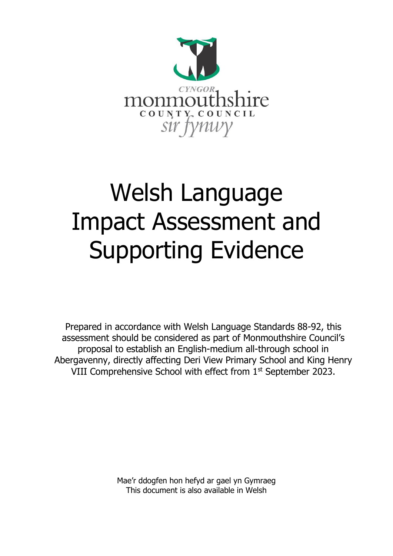

# Welsh Language Impact Assessment and Supporting Evidence

Prepared in accordance with Welsh Language Standards 88-92, this assessment should be considered as part of Monmouthshire Council's proposal to establish an English-medium all-through school in Abergavenny, directly affecting Deri View Primary School and King Henry VIII Comprehensive School with effect from 1<sup>st</sup> September 2023.

> Mae'r ddogfen hon hefyd ar gael yn Gymraeg This document is also available in Welsh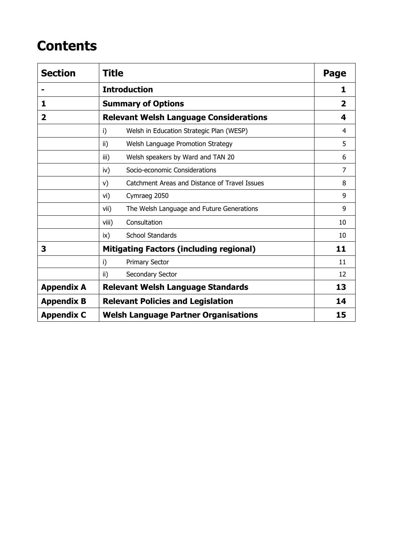## **Contents**

| <b>Section</b>          | <b>Title</b>                                        | Page           |
|-------------------------|-----------------------------------------------------|----------------|
|                         | <b>Introduction</b>                                 | 1              |
| 1                       | <b>Summary of Options</b>                           | 2              |
| $\overline{\mathbf{2}}$ | <b>Relevant Welsh Language Considerations</b>       | 4              |
|                         | i)<br>Welsh in Education Strategic Plan (WESP)      | 4              |
|                         | Welsh Language Promotion Strategy<br>ii)            | 5              |
|                         | Welsh speakers by Ward and TAN 20<br>iii)           | 6              |
|                         | Socio-economic Considerations<br>iv)                | $\overline{7}$ |
|                         | Catchment Areas and Distance of Travel Issues<br>V) | 8              |
|                         | vi)<br>Cymraeg 2050                                 | 9              |
|                         | The Welsh Language and Future Generations<br>vii)   | 9              |
|                         | Consultation<br>viii)                               | 10             |
|                         | <b>School Standards</b><br>ix)                      | 10             |
| 3                       | <b>Mitigating Factors (including regional)</b>      | 11             |
|                         | i)<br><b>Primary Sector</b>                         | 11             |
|                         | Secondary Sector<br>ii)                             | 12             |
| <b>Appendix A</b>       | <b>Relevant Welsh Language Standards</b>            | 13             |
| <b>Appendix B</b>       | <b>Relevant Policies and Legislation</b>            | 14             |
| <b>Appendix C</b>       | <b>Welsh Language Partner Organisations</b>         | 15             |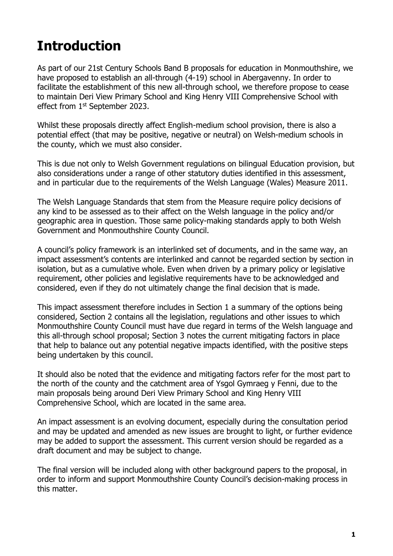# **Introduction**

As part of our 21st Century Schools Band B proposals for education in Monmouthshire, we have proposed to establish an all-through (4-19) school in Abergavenny. In order to facilitate the establishment of this new all-through school, we therefore propose to cease to maintain Deri View Primary School and King Henry VIII Comprehensive School with effect from 1st September 2023.

Whilst these proposals directly affect English-medium school provision, there is also a potential effect (that may be positive, negative or neutral) on Welsh-medium schools in the county, which we must also consider.

This is due not only to Welsh Government regulations on bilingual Education provision, but also considerations under a range of other statutory duties identified in this assessment, and in particular due to the requirements of the Welsh Language (Wales) Measure 2011.

The Welsh Language Standards that stem from the Measure require policy decisions of any kind to be assessed as to their affect on the Welsh language in the policy and/or geographic area in question. Those same policy-making standards apply to both Welsh Government and Monmouthshire County Council.

A council's policy framework is an interlinked set of documents, and in the same way, an impact assessment's contents are interlinked and cannot be regarded section by section in isolation, but as a cumulative whole. Even when driven by a primary policy or legislative requirement, other policies and legislative requirements have to be acknowledged and considered, even if they do not ultimately change the final decision that is made.

This impact assessment therefore includes in Section 1 a summary of the options being considered, Section 2 contains all the legislation, regulations and other issues to which Monmouthshire County Council must have due regard in terms of the Welsh language and this all-through school proposal; Section 3 notes the current mitigating factors in place that help to balance out any potential negative impacts identified, with the positive steps being undertaken by this council.

It should also be noted that the evidence and mitigating factors refer for the most part to the north of the county and the catchment area of Ysgol Gymraeg y Fenni, due to the main proposals being around Deri View Primary School and King Henry VIII Comprehensive School, which are located in the same area.

An impact assessment is an evolving document, especially during the consultation period and may be updated and amended as new issues are brought to light, or further evidence may be added to support the assessment. This current version should be regarded as a draft document and may be subject to change.

The final version will be included along with other background papers to the proposal, in order to inform and support Monmouthshire County Council's decision-making process in this matter.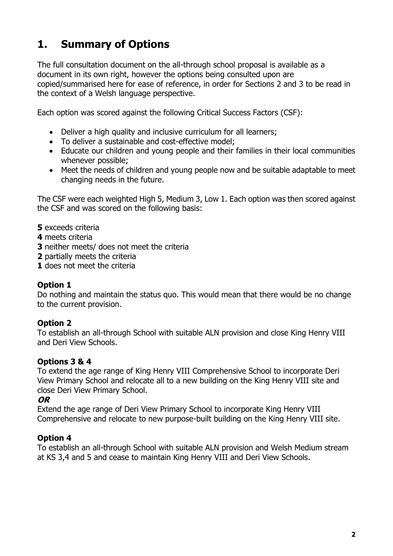## **1. Summary of Options**

The full consultation document on the all-through school proposal is available as a document in its own right, however the options being consulted upon are copied/summarised here for ease of reference, in order for Sections 2 and 3 to be read in the context of a Welsh language perspective.

Each option was scored against the following Critical Success Factors (CSF):

- Deliver a high quality and inclusive curriculum for all learners;
- To deliver a sustainable and cost-effective model;
- Educate our children and young people and their families in their local communities whenever possible;
- Meet the needs of children and young people now and be suitable adaptable to meet changing needs in the future.

The CSF were each weighted High 5, Medium 3, Low 1. Each option was then scored against the CSF and was scored on the following basis:

- **5** exceeds criteria
- **4** meets criteria
- **3** neither meets/ does not meet the criteria
- **2** partially meets the criteria
- **1** does not meet the criteria

#### **Option 1**

Do nothing and maintain the status quo. This would mean that there would be no change to the current provision.

#### **Option 2**

To establish an all-through School with suitable ALN provision and close King Henry VIII and Deri View Schools.

#### **Options 3 & 4**

To extend the age range of King Henry VIII Comprehensive School to incorporate Deri View Primary School and relocate all to a new building on the King Henry VIII site and close Deri View Primary School.

#### **OR**

Extend the age range of Deri View Primary School to incorporate King Henry VIII Comprehensive and relocate to new purpose-built building on the King Henry VIII site.

#### **Option 4**

To establish an all-through School with suitable ALN provision and Welsh Medium stream at KS 3,4 and 5 and cease to maintain King Henry VIII and Deri View Schools.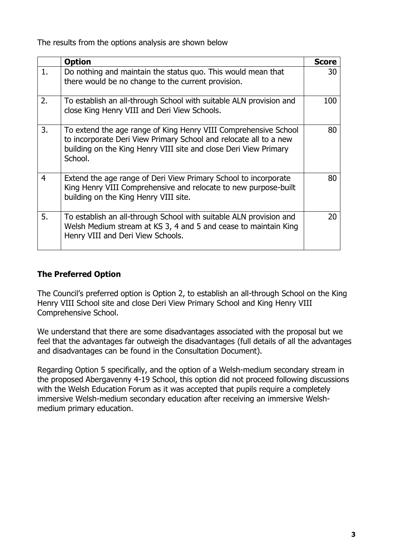The results from the options analysis are shown below

|    | <b>Option</b>                                                                                                                                                                                                       | <b>Score</b> |
|----|---------------------------------------------------------------------------------------------------------------------------------------------------------------------------------------------------------------------|--------------|
| 1. | Do nothing and maintain the status quo. This would mean that<br>there would be no change to the current provision.                                                                                                  | 30           |
| 2. | To establish an all-through School with suitable ALN provision and<br>close King Henry VIII and Deri View Schools.                                                                                                  | 100          |
| 3. | To extend the age range of King Henry VIII Comprehensive School<br>to incorporate Deri View Primary School and relocate all to a new<br>building on the King Henry VIII site and close Deri View Primary<br>School. | 80           |
| 4  | Extend the age range of Deri View Primary School to incorporate<br>King Henry VIII Comprehensive and relocate to new purpose-built<br>building on the King Henry VIII site.                                         | 80           |
| 5. | To establish an all-through School with suitable ALN provision and<br>Welsh Medium stream at KS 3, 4 and 5 and cease to maintain King<br>Henry VIII and Deri View Schools.                                          | 20           |

#### **The Preferred Option**

The Council's preferred option is Option 2, to establish an all-through School on the King Henry VIII School site and close Deri View Primary School and King Henry VIII Comprehensive School.

We understand that there are some disadvantages associated with the proposal but we feel that the advantages far outweigh the disadvantages (full details of all the advantages and disadvantages can be found in the Consultation Document).

Regarding Option 5 specifically, and the option of a Welsh-medium secondary stream in the proposed Abergavenny 4-19 School, this option did not proceed following discussions with the Welsh Education Forum as it was accepted that pupils require a completely immersive Welsh-medium secondary education after receiving an immersive Welshmedium primary education.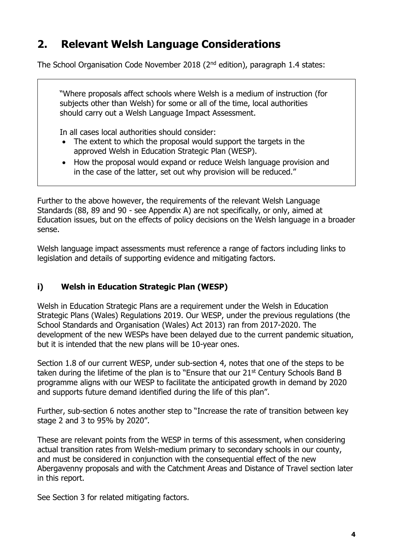## **2. Relevant Welsh Language Considerations**

The School Organisation Code November 2018 (2nd edition), paragraph 1.4 states:

"Where proposals affect schools where Welsh is a medium of instruction (for subjects other than Welsh) for some or all of the time, local authorities should carry out a Welsh Language Impact Assessment.

In all cases local authorities should consider:

- The extent to which the proposal would support the targets in the approved Welsh in Education Strategic Plan (WESP).
- How the proposal would expand or reduce Welsh language provision and in the case of the latter, set out why provision will be reduced."

Further to the above however, the requirements of the relevant Welsh Language Standards (88, 89 and 90 - see Appendix A) are not specifically, or only, aimed at Education issues, but on the effects of policy decisions on the Welsh language in a broader sense.

Welsh language impact assessments must reference a range of factors including links to legislation and details of supporting evidence and mitigating factors.

#### **i) Welsh in Education Strategic Plan (WESP)**

Welsh in Education Strategic Plans are a requirement under the Welsh in Education Strategic Plans (Wales) Regulations 2019. Our WESP, under the previous regulations (the School Standards and Organisation (Wales) Act 2013) ran from 2017-2020. The development of the new WESPs have been delayed due to the current pandemic situation, but it is intended that the new plans will be 10-year ones.

Section 1.8 of our current WESP, under sub-section 4, notes that one of the steps to be taken during the lifetime of the plan is to "Ensure that our  $21<sup>st</sup>$  Century Schools Band B programme aligns with our WESP to facilitate the anticipated growth in demand by 2020 and supports future demand identified during the life of this plan".

Further, sub-section 6 notes another step to "Increase the rate of transition between key stage 2 and 3 to 95% by 2020".

These are relevant points from the WESP in terms of this assessment, when considering actual transition rates from Welsh-medium primary to secondary schools in our county, and must be considered in conjunction with the consequential effect of the new Abergavenny proposals and with the Catchment Areas and Distance of Travel section later in this report.

See Section 3 for related mitigating factors.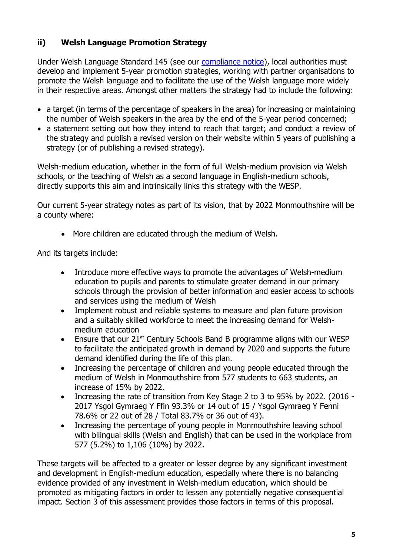#### **ii) Welsh Language Promotion Strategy**

Under Welsh Language Standard 145 (see our [compliance notice\)](https://www.monmouthshire.gov.uk/policies-and-plans/councils-policy-framework/mcc-wl-standards-final-eng-09082016/), local authorities must develop and implement 5-year promotion strategies, working with partner organisations to promote the Welsh language and to facilitate the use of the Welsh language more widely in their respective areas. Amongst other matters the strategy had to include the following:

- a target (in terms of the percentage of speakers in the area) for increasing or maintaining the number of Welsh speakers in the area by the end of the 5-year period concerned;
- a statement setting out how they intend to reach that target; and conduct a review of the strategy and publish a revised version on their website within 5 years of publishing a strategy (or of publishing a revised strategy).

Welsh-medium education, whether in the form of full Welsh-medium provision via Welsh schools, or the teaching of Welsh as a second language in English-medium schools, directly supports this aim and intrinsically links this strategy with the WESP.

Our current 5-year strategy notes as part of its vision, that by 2022 Monmouthshire will be a county where:

• More children are educated through the medium of Welsh.

And its targets include:

- Introduce more effective ways to promote the advantages of Welsh-medium education to pupils and parents to stimulate greater demand in our primary schools through the provision of better information and easier access to schools and services using the medium of Welsh
- Implement robust and reliable systems to measure and plan future provision and a suitably skilled workforce to meet the increasing demand for Welshmedium education
- Ensure that our 21st Century Schools Band B programme aligns with our WESP to facilitate the anticipated growth in demand by 2020 and supports the future demand identified during the life of this plan.
- Increasing the percentage of children and young people educated through the medium of Welsh in Monmouthshire from 577 students to 663 students, an increase of 15% by 2022.
- Increasing the rate of transition from Key Stage 2 to 3 to 95% by 2022. (2016 -2017 Ysgol Gymraeg Y Ffin 93.3% or 14 out of 15 / Ysgol Gymraeg Y Fenni 78.6% or 22 out of 28 / Total 83.7% or 36 out of 43).
- Increasing the percentage of young people in Monmouthshire leaving school with bilingual skills (Welsh and English) that can be used in the workplace from 577 (5.2%) to 1,106 (10%) by 2022.

These targets will be affected to a greater or lesser degree by any significant investment and development in English-medium education, especially where there is no balancing evidence provided of any investment in Welsh-medium education, which should be promoted as mitigating factors in order to lessen any potentially negative consequential impact. Section 3 of this assessment provides those factors in terms of this proposal.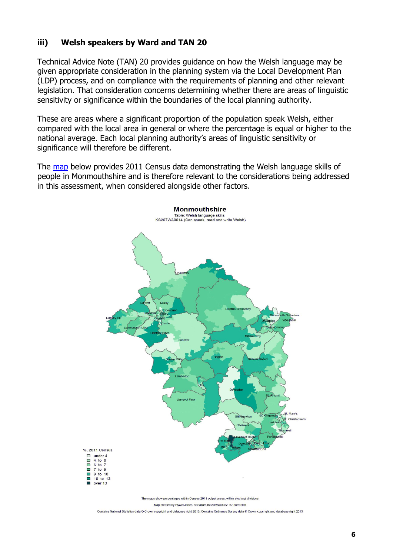#### **iii) Welsh speakers by Ward and TAN 20**

Technical Advice Note (TAN) 20 provides guidance on how the Welsh language may be given appropriate consideration in the planning system via the Local Development Plan (LDP) process, and on compliance with the requirements of planning and other relevant legislation. That consideration concerns determining whether there are areas of linguistic sensitivity or significance within the boundaries of the local planning authority.

These are areas where a significant proportion of the population speak Welsh, either compared with the local area in general or where the percentage is equal or higher to the national average. Each local planning authority's areas of linguistic sensitivity or significance will therefore be different.

The [map](http://statiaith.com/gwefan/pdfs/cyfrifiad2011/mapiau/english/Monmouthshire_W06000021_en.pdf) below provides 2011 Census data demonstrating the Welsh language skills of people in Monmouthshire and is therefore relevant to the considerations being addressed in this assessment, when considered alongside other factors.



Map created by Hywel Jones. Variables KS208WA0022-27 corrected

nal Statistics data © Crown copyright and database right 2013; Contains Ordnance Survey data © Crown copyright and database right 2013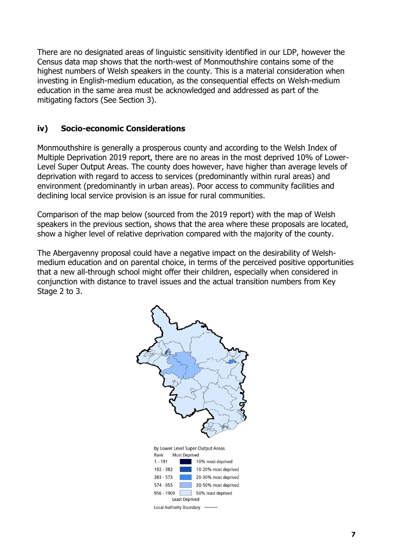There are no designated areas of linguistic sensitivity identified in our LDP, however the Census data map shows that the north-west of Monmouthshire contains some of the highest numbers of Welsh speakers in the county. This is a material consideration when investing in English-medium education, as the consequential effects on Welsh-medium education in the same area must be acknowledged and addressed as part of the mitigating factors (See Section 3).

#### **iv) Socio-economic Considerations**

Monmouthshire is generally a prosperous county and according to the Welsh Index of Multiple Deprivation 2019 report, there are no areas in the most deprived 10% of Lower-Level Super Output Areas. The county does however, have higher than average levels of deprivation with regard to access to services (predominantly within rural areas) and environment (predominantly in urban areas). Poor access to community facilities and declining local service provision is an issue for rural communities.

Comparison of the map below (sourced from the 2019 report) with the map of Welsh speakers in the previous section, shows that the area where these proposals are located, show a higher level of relative deprivation compared with the majority of the county.

The Abergavenny proposal could have a negative impact on the desirability of Welshmedium education and on parental choice, in terms of the perceived positive opportunities that a new all-through school might offer their children, especially when considered in conjunction with distance to travel issues and the actual transition numbers from Key Stage 2 to 3.

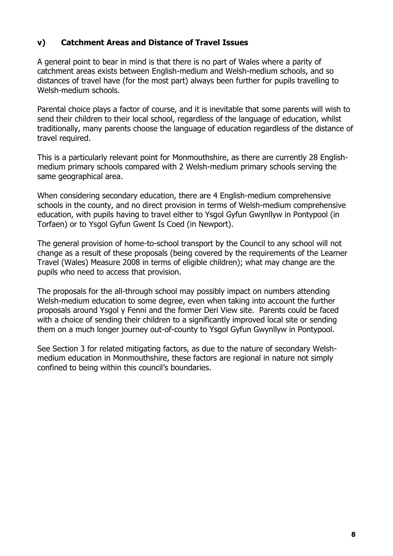#### **v) Catchment Areas and Distance of Travel Issues**

A general point to bear in mind is that there is no part of Wales where a parity of catchment areas exists between English-medium and Welsh-medium schools, and so distances of travel have (for the most part) always been further for pupils travelling to Welsh-medium schools.

Parental choice plays a factor of course, and it is inevitable that some parents will wish to send their children to their local school, regardless of the language of education, whilst traditionally, many parents choose the language of education regardless of the distance of travel required.

This is a particularly relevant point for Monmouthshire, as there are currently 28 Englishmedium primary schools compared with 2 Welsh-medium primary schools serving the same geographical area.

When considering secondary education, there are 4 English-medium comprehensive schools in the county, and no direct provision in terms of Welsh-medium comprehensive education, with pupils having to travel either to Ysgol Gyfun Gwynllyw in Pontypool (in Torfaen) or to Ysgol Gyfun Gwent Is Coed (in Newport).

The general provision of home-to-school transport by the Council to any school will not change as a result of these proposals (being covered by the requirements of the Learner Travel (Wales) Measure 2008 in terms of eligible children); what may change are the pupils who need to access that provision.

The proposals for the all-through school may possibly impact on numbers attending Welsh-medium education to some degree, even when taking into account the further proposals around Ysgol y Fenni and the former Deri View site. Parents could be faced with a choice of sending their children to a significantly improved local site or sending them on a much longer journey out-of-county to Ysgol Gyfun Gwynllyw in Pontypool.

See Section 3 for related mitigating factors, as due to the nature of secondary Welshmedium education in Monmouthshire, these factors are regional in nature not simply confined to being within this council's boundaries.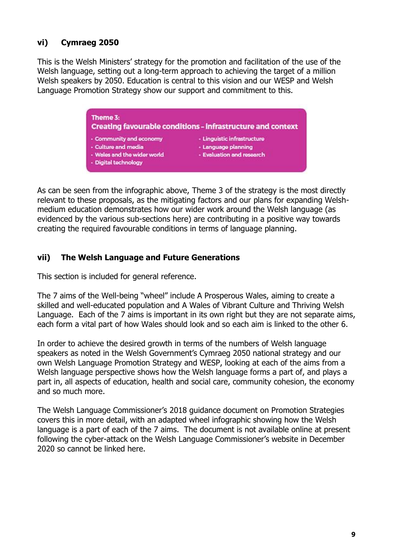#### **vi) Cymraeg 2050**

This is the Welsh Ministers' strategy for the promotion and facilitation of the use of the Welsh language, setting out a long-term approach to achieving the target of a million Welsh speakers by 2050. Education is central to this vision and our WESP and Welsh Language Promotion Strategy show our support and commitment to this.

> Theme 3: **Creating favourable conditions - infrastructure and context** - Community and economy - Linguistic infrastructure - Culture and media · Language planning - Wales and the wider world - Evaluation and research

**Digital technology** 

As can be seen from the infographic above, Theme 3 of the strategy is the most directly relevant to these proposals, as the mitigating factors and our plans for expanding Welshmedium education demonstrates how our wider work around the Welsh language (as evidenced by the various sub-sections here) are contributing in a positive way towards creating the required favourable conditions in terms of language planning.

#### **vii) The Welsh Language and Future Generations**

This section is included for general reference.

The 7 aims of the Well-being "wheel" include A Prosperous Wales, aiming to create a skilled and well-educated population and A Wales of Vibrant Culture and Thriving Welsh Language. Each of the 7 aims is important in its own right but they are not separate aims, each form a vital part of how Wales should look and so each aim is linked to the other 6.

In order to achieve the desired growth in terms of the numbers of Welsh language speakers as noted in the Welsh Government's Cymraeg 2050 national strategy and our own Welsh Language Promotion Strategy and WESP, looking at each of the aims from a Welsh language perspective shows how the Welsh language forms a part of, and plays a part in, all aspects of education, health and social care, community cohesion, the economy and so much more.

The Welsh Language Commissioner's 2018 guidance document on Promotion Strategies covers this in more detail, with an adapted wheel infographic showing how the Welsh language is a part of each of the 7 aims. The document is not available online at present following the cyber-attack on the Welsh Language Commissioner's website in December 2020 so cannot be linked here.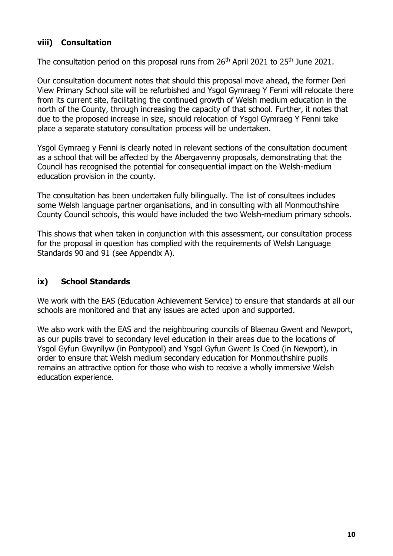#### **viii) Consultation**

The consultation period on this proposal runs from  $26<sup>th</sup>$  April 2021 to  $25<sup>th</sup>$  June 2021.

Our consultation document notes that should this proposal move ahead, the former Deri View Primary School site will be refurbished and Ysgol Gymraeg Y Fenni will relocate there from its current site, facilitating the continued growth of Welsh medium education in the north of the County, through increasing the capacity of that school. Further, it notes that due to the proposed increase in size, should relocation of Ysgol Gymraeg Y Fenni take place a separate statutory consultation process will be undertaken.

Ysgol Gymraeg y Fenni is clearly noted in relevant sections of the consultation document as a school that will be affected by the Abergavenny proposals, demonstrating that the Council has recognised the potential for consequential impact on the Welsh-medium education provision in the county.

The consultation has been undertaken fully bilingually. The list of consultees includes some Welsh language partner organisations, and in consulting with all Monmouthshire County Council schools, this would have included the two Welsh-medium primary schools.

This shows that when taken in conjunction with this assessment, our consultation process for the proposal in question has complied with the requirements of Welsh Language Standards 90 and 91 (see Appendix A).

#### **ix) School Standards**

We work with the EAS (Education Achievement Service) to ensure that standards at all our schools are monitored and that any issues are acted upon and supported.

We also work with the EAS and the neighbouring councils of Blaenau Gwent and Newport, as our pupils travel to secondary level education in their areas due to the locations of Ysgol Gyfun Gwynllyw (in Pontypool) and Ysgol Gyfun Gwent Is Coed (in Newport), in order to ensure that Welsh medium secondary education for Monmouthshire pupils remains an attractive option for those who wish to receive a wholly immersive Welsh education experience.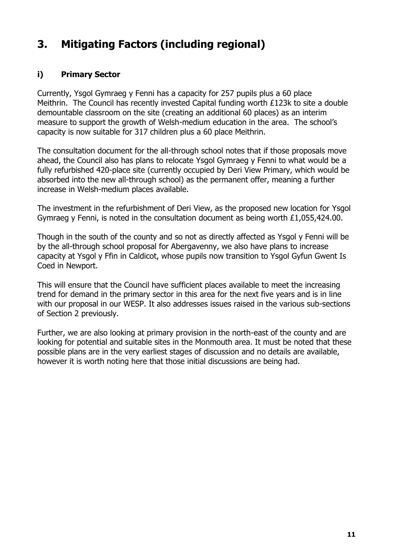## **3. Mitigating Factors (including regional)**

#### **i) Primary Sector**

Currently, Ysgol Gymraeg y Fenni has a capacity for 257 pupils plus a 60 place Meithrin. The Council has recently invested Capital funding worth £123k to site a double demountable classroom on the site (creating an additional 60 places) as an interim measure to support the growth of Welsh-medium education in the area. The school's capacity is now suitable for 317 children plus a 60 place Meithrin.

The consultation document for the all-through school notes that if those proposals move ahead, the Council also has plans to relocate Ysgol Gymraeg y Fenni to what would be a fully refurbished 420-place site (currently occupied by Deri View Primary, which would be absorbed into the new all-through school) as the permanent offer, meaning a further increase in Welsh-medium places available.

The investment in the refurbishment of Deri View, as the proposed new location for Ysgol Gymraeg y Fenni, is noted in the consultation document as being worth £1,055,424.00.

Though in the south of the county and so not as directly affected as Ysgol y Fenni will be by the all-through school proposal for Abergavenny, we also have plans to increase capacity at Ysgol y Ffin in Caldicot, whose pupils now transition to Ysgol Gyfun Gwent Is Coed in Newport.

This will ensure that the Council have sufficient places available to meet the increasing trend for demand in the primary sector in this area for the next five years and is in line with our proposal in our WESP. It also addresses issues raised in the various sub-sections of Section 2 previously.

Further, we are also looking at primary provision in the north-east of the county and are looking for potential and suitable sites in the Monmouth area. It must be noted that these possible plans are in the very earliest stages of discussion and no details are available, however it is worth noting here that those initial discussions are being had.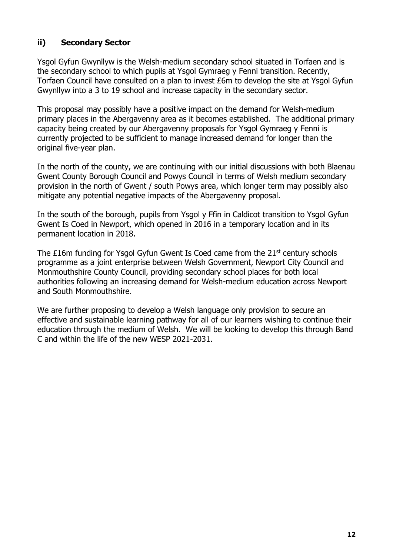#### **ii) Secondary Sector**

Ysgol Gyfun Gwynllyw is the Welsh-medium secondary school situated in Torfaen and is the secondary school to which pupils at Ysgol Gymraeg y Fenni transition. Recently, Torfaen Council have consulted on a plan to invest £6m to develop the site at Ysgol Gyfun Gwynllyw into a 3 to 19 school and increase capacity in the secondary sector.

This proposal may possibly have a positive impact on the demand for Welsh-medium primary places in the Abergavenny area as it becomes established. The additional primary capacity being created by our Abergavenny proposals for Ysgol Gymraeg y Fenni is currently projected to be sufficient to manage increased demand for longer than the original five-year plan.

In the north of the county, we are continuing with our initial discussions with both Blaenau Gwent County Borough Council and Powys Council in terms of Welsh medium secondary provision in the north of Gwent / south Powys area, which longer term may possibly also mitigate any potential negative impacts of the Abergavenny proposal.

In the south of the borough, pupils from Ysgol y Ffin in Caldicot transition to Ysgol Gyfun Gwent Is Coed in Newport, which opened in 2016 in a temporary location and in its permanent location in 2018.

The £16m funding for Ysgol Gyfun Gwent Is Coed came from the 21<sup>st</sup> century schools programme as a joint enterprise between Welsh Government, Newport City Council and Monmouthshire County Council, providing secondary school places for both local authorities following an increasing demand for Welsh-medium education across Newport and South Monmouthshire.

We are further proposing to develop a Welsh language only provision to secure an effective and sustainable learning pathway for all of our learners wishing to continue their education through the medium of Welsh. We will be looking to develop this through Band C and within the life of the new WESP 2021-2031.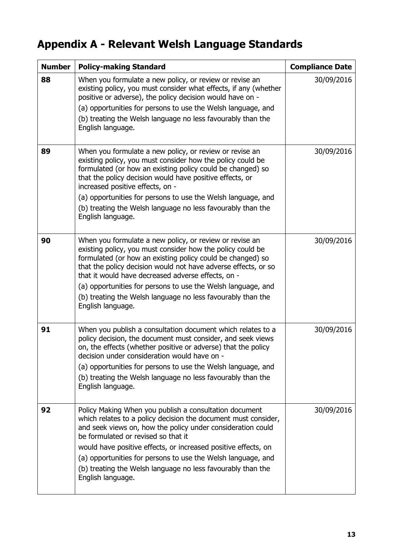# **Appendix A - Relevant Welsh Language Standards**

| <b>Number</b> | <b>Policy-making Standard</b>                                                                                                                                                                                                                                                                                                                                                                                                                                   | <b>Compliance Date</b> |
|---------------|-----------------------------------------------------------------------------------------------------------------------------------------------------------------------------------------------------------------------------------------------------------------------------------------------------------------------------------------------------------------------------------------------------------------------------------------------------------------|------------------------|
| 88            | When you formulate a new policy, or review or revise an<br>existing policy, you must consider what effects, if any (whether<br>positive or adverse), the policy decision would have on -<br>(a) opportunities for persons to use the Welsh language, and<br>(b) treating the Welsh language no less favourably than the<br>English language.                                                                                                                    | 30/09/2016             |
| 89            | When you formulate a new policy, or review or revise an<br>existing policy, you must consider how the policy could be<br>formulated (or how an existing policy could be changed) so<br>that the policy decision would have positive effects, or<br>increased positive effects, on -<br>(a) opportunities for persons to use the Welsh language, and<br>(b) treating the Welsh language no less favourably than the<br>English language.                         | 30/09/2016             |
| 90            | When you formulate a new policy, or review or revise an<br>existing policy, you must consider how the policy could be<br>formulated (or how an existing policy could be changed) so<br>that the policy decision would not have adverse effects, or so<br>that it would have decreased adverse effects, on -<br>(a) opportunities for persons to use the Welsh language, and<br>(b) treating the Welsh language no less favourably than the<br>English language. | 30/09/2016             |
| 91            | When you publish a consultation document which relates to a<br>policy decision, the document must consider, and seek views<br>on, the effects (whether positive or adverse) that the policy<br>decision under consideration would have on -<br>(a) opportunities for persons to use the Welsh language, and<br>(b) treating the Welsh language no less favourably than the<br>English language.                                                                 | 30/09/2016             |
| 92            | Policy Making When you publish a consultation document<br>which relates to a policy decision the document must consider,<br>and seek views on, how the policy under consideration could<br>be formulated or revised so that it<br>would have positive effects, or increased positive effects, on<br>(a) opportunities for persons to use the Welsh language, and<br>(b) treating the Welsh language no less favourably than the<br>English language.            | 30/09/2016             |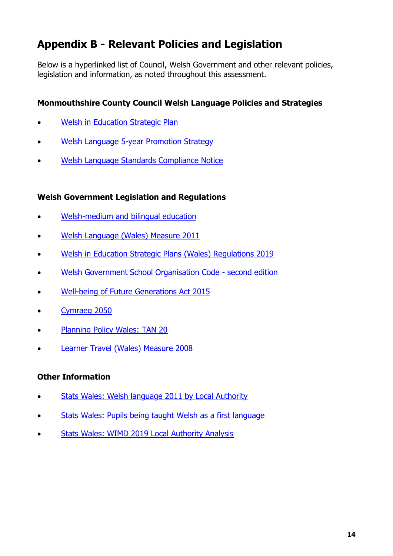## **Appendix B - Relevant Policies and Legislation**

Below is a hyperlinked list of Council, Welsh Government and other relevant policies, legislation and information, as noted throughout this assessment.

#### **Monmouthshire County Council Welsh Language Policies and Strategies**

- [Welsh in Education Strategic Plan](http://www.monmouthshire.gov.uk/app/uploads/2017/11/WESP_Draft_170401.pdf)
- [Welsh Language 5-year Promotion Strategy](https://www.monmouthshire.gov.uk/app/uploads/2018/10/MCC-5-Year-Welsh-Lang-Strat-20180101-Com-Bilingual.docx)
- [Welsh Language Standards Compliance Notice](https://www.monmouthshire.gov.uk/policies-and-plans/councils-policy-framework/mcc-wl-standards-final-eng-09082016/)

#### **Welsh Government Legislation and Regulations**

- Welsh-medium [and bilingual education](https://gov.wales/welsh-medium-and-bilingual-education)
- [Welsh Language \(Wales\) Measure 2011](https://www.legislation.gov.uk/mwa/2011/1/contents/enacted)
- [Welsh in Education Strategic Plans \(Wales\) Regulations 2019](https://www.legislation.gov.uk/wsi/2019/1489/made)
- [Welsh Government School Organisation Code -](https://gov.wales/sites/default/files/publications/2018-10/school-organisation-code-second-edition.pdf) second edition
- [Well-being of Future Generations Act 2015](https://www.futuregenerations.wales/about-us/future-generations-act/)
- [Cymraeg 2050](https://gov.wales/cymraeg-2050-welsh-language-strategy-action-plan-2019-2020)
- [Planning Policy Wales: TAN 20](https://gov.wales/technical-advice-note-tan-20-planning-and-welsh-language)
- Learner [Travel \(Wales\) Measure 2008](https://gov.wales/learner-travel-statutory-provision-and-operational-guidance)

#### **Other Information**

- [Stats Wales: Welsh language](http://statiaith.com/gwefan/pdfs/cyfrifiad2011/mapiau/english/) 2011 by Local Authority
- [Stats Wales: Pupils being taught Welsh as a first language](https://statswales.gov.wales/Catalogue/Education-and-Skills/Schools-and-Teachers/Schools-Census/Pupil-Level-Annual-School-Census/Welsh-Language/pupilstaughtwelshprimarymiddlesecondaryschools-by-localauthorityregion-year)
- [Stats Wales: WIMD 2019 Local Authority Analysis](https://statswales.gov.wales/Catalogue/Community-Safety-and-Social-Inclusion/Welsh-Index-of-Multiple-Deprivation/WIMD-2019/localauthorityanalysis)